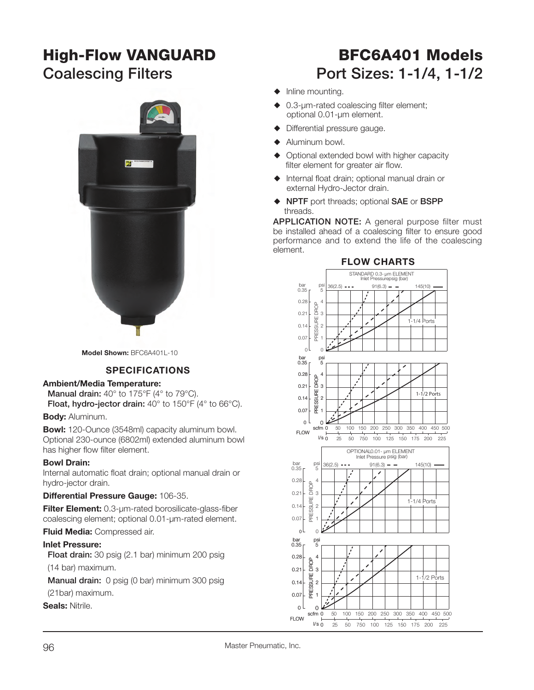## **High-Flow VANGUARD BFC6A401 Models**



**Model Shown:** BFC6A401L-10

#### **SPECIFICATIONS**

#### **Ambient/Media Temperature:**

**Manual drain:** 40° to 175°F (4° to 79°C). **Float, hydro-jector drain:** 40° to 150°F (4° to 66°C).

**Body:** Aluminum.

**Bowl:** 120-Ounce (3548ml) capacity aluminum bowl. Optional 230-ounce (6802ml) extended aluminum bowl has higher flow filter element.

#### **Bowl Drain:**

Internal automatic float drain; optional manual drain or hydro-jector drain.

**Differential Pressure Gauge:** 106-35.

**Filter Element:** 0.3-µm-rated borosilicate-glass-fiber coalescing element; optional 0.01-µm-rated element.

**Fluid Media:** Compressed air.

#### **Inlet Pressure:**

 **Float drain:** 30 psig (2.1 bar) minimum 200 psig (14 bar) maximum.

**Manual drain:** 0 psig (0 bar) minimum 300 psig (21bar) maximum.

**Seals:** Nitrile.

# Coalescing Filters **Port Sizes: 1-1/4, 1-1/2**

- $\blacklozenge$  Inline mounting.
- $\triangle$  0.3-µm-rated coalescing filter element; optional 0.01-µm element.
- Differential pressure gauge.
- $\blacklozenge$  Aluminum bowl.
- Optional extended bowl with higher capacity filter element for greater air flow.
- $\blacklozenge$  Internal float drain; optional manual drain or external Hydro-Jector drain.
- S **NPTF** port threads; optional **SAE** or **BSPP** threads.

**APPLICATION NOTE:** A general purpose filter must be installed ahead of a coalescing filter to ensure good performance and to extend the life of the coalescing element.



#### **FLOW CHARTS**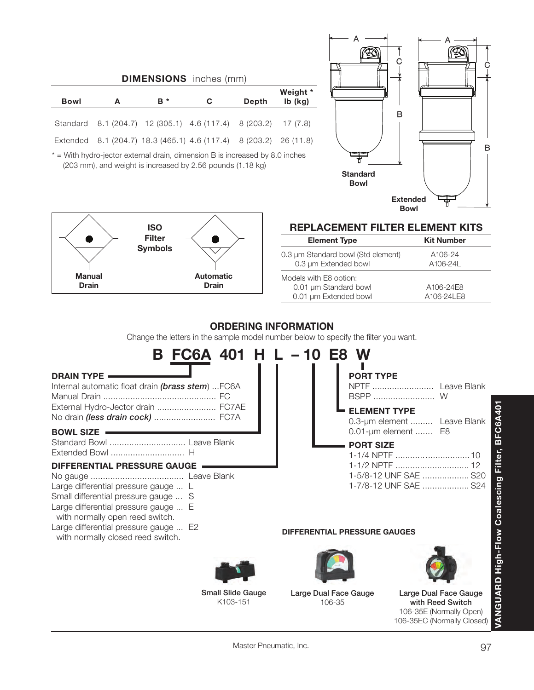|                                                                                                                                                                                                                                                                                                                                                                                                                                              |   |                             | <b>DIMENSIONS</b> inches (mm)                  |              |                        |                                                             |                                                                                                                                                             |
|----------------------------------------------------------------------------------------------------------------------------------------------------------------------------------------------------------------------------------------------------------------------------------------------------------------------------------------------------------------------------------------------------------------------------------------------|---|-----------------------------|------------------------------------------------|--------------|------------------------|-------------------------------------------------------------|-------------------------------------------------------------------------------------------------------------------------------------------------------------|
| <b>Bowl</b>                                                                                                                                                                                                                                                                                                                                                                                                                                  | A | в *                         | $\mathbf C$                                    | <b>Depth</b> | Weight *<br>Ib (kg)    |                                                             |                                                                                                                                                             |
| Standard                                                                                                                                                                                                                                                                                                                                                                                                                                     |   |                             | 8.1 (204.7) 12 (305.1) 4.6 (117.4)             | 8 (203.2)    | 17(7.8)                |                                                             | в                                                                                                                                                           |
| Extended                                                                                                                                                                                                                                                                                                                                                                                                                                     |   |                             | 8.1 (204.7) 18.3 (465.1) 4.6 (117.4) 8 (203.2) |              | 26(11.8)               |                                                             |                                                                                                                                                             |
| * = With hydro-jector external drain, dimension B is increased by 8.0 inches                                                                                                                                                                                                                                                                                                                                                                 |   |                             |                                                |              |                        |                                                             | в                                                                                                                                                           |
| (203 mm), and weight is increased by 2.56 pounds (1.18 kg)                                                                                                                                                                                                                                                                                                                                                                                   |   |                             |                                                |              |                        | <b>Standard</b>                                             |                                                                                                                                                             |
|                                                                                                                                                                                                                                                                                                                                                                                                                                              |   |                             |                                                |              |                        | <b>Bowl</b>                                                 |                                                                                                                                                             |
|                                                                                                                                                                                                                                                                                                                                                                                                                                              |   |                             |                                                |              |                        |                                                             | <b>Extended</b>                                                                                                                                             |
|                                                                                                                                                                                                                                                                                                                                                                                                                                              |   |                             |                                                |              |                        |                                                             | <b>Bowl</b>                                                                                                                                                 |
|                                                                                                                                                                                                                                                                                                                                                                                                                                              |   | <b>ISO</b><br><b>Filter</b> |                                                |              |                        | <b>Element Type</b>                                         | <b>REPLACEMENT FILTER ELEMENT KITS</b><br><b>Kit Number</b>                                                                                                 |
|                                                                                                                                                                                                                                                                                                                                                                                                                                              |   | <b>Symbols</b>              |                                                |              |                        | 0.3 µm Standard bowl (Std element)                          | A106-24                                                                                                                                                     |
|                                                                                                                                                                                                                                                                                                                                                                                                                                              |   |                             |                                                |              |                        | 0.3 µm Extended bowl                                        | A106-24L                                                                                                                                                    |
| <b>Manual</b><br><b>Drain</b>                                                                                                                                                                                                                                                                                                                                                                                                                |   |                             | <b>Automatic</b><br><b>Drain</b>               |              | Models with E8 option: | 0.01 µm Standard bowl                                       | A106-24E8                                                                                                                                                   |
|                                                                                                                                                                                                                                                                                                                                                                                                                                              |   |                             |                                                |              |                        | 0.01 µm Extended bowl                                       | A106-24LE8                                                                                                                                                  |
| <b>DRAIN TYPE</b><br>Internal automatic float drain (brass stem)  FC6A<br>External Hydro-Jector drain  FC7AE<br>No drain (less drain cock)  FC7A<br><b>BOWL SIZE</b><br>Standard Bowl  Leave Blank<br><b>DIFFERENTIAL PRESSURE GAUGE</b><br>Large differential pressure gauge  L<br>Small differential pressure gauge  S<br>Large differential pressure gauge  E<br>with normally open reed switch.<br>Large differential pressure gauge  E2 |   |                             | <b>FC6A 401</b>                                |              |                        | <b>PORT TYPE</b><br><b>ELEMENT TYPE</b><br><b>PORT SIZE</b> | NPTF  Leave Blank<br><b>BFC6A</b><br>0.3-um element  Leave Blank<br>0.01-um element  E8<br>1-1/2 NPTF  12<br>1-5/8-12 UNF SAE  S20<br>1-7/8-12 UNF SAE  S24 |
| with normally closed reed switch.                                                                                                                                                                                                                                                                                                                                                                                                            |   |                             |                                                |              |                        | DIFFERENTIAL PRESSURE GAUGES                                |                                                                                                                                                             |
|                                                                                                                                                                                                                                                                                                                                                                                                                                              |   |                             |                                                |              |                        |                                                             |                                                                                                                                                             |
|                                                                                                                                                                                                                                                                                                                                                                                                                                              |   |                             | <b>Small Slide Gauge</b><br>K103-151           |              |                        | Large Dual Face Gauge<br>106-35                             | VANGUARD High-Flow Coalescing Filter,<br>Large Dual Face Gauge<br>with Reed Switch<br>106-35E (Normally Open)<br>106-35EC (Normally Closed)                 |

Master Pneumatic, Inc.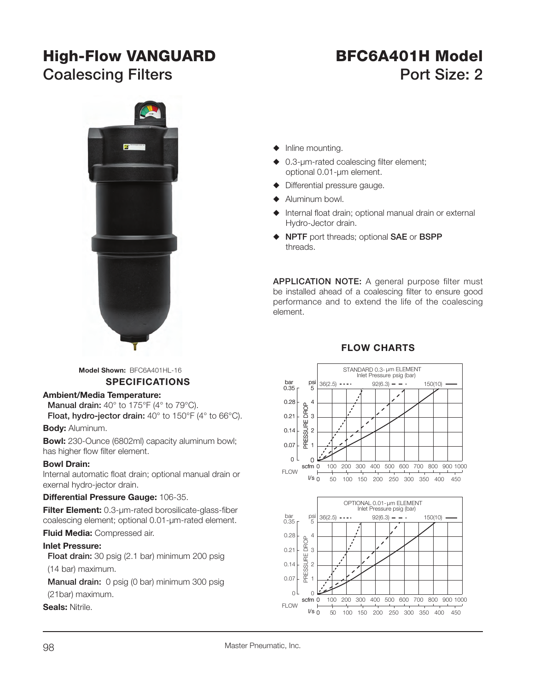## **High-Flow VANGUARD BFC6A401H Model**

# **Coalescing Filters Coalescing Filters Port Size: 2**



**Model Shown:** BFC6A401HL-16

#### **SPECIFICATIONS**

#### **Ambient/Media Temperature:**

**Manual drain:** 40° to 175°F (4° to 79°C). **Float, hydro-jector drain:** 40° to 150°F (4° to 66°C).

#### **Body:** Aluminum.

**Bowl:** 230-Ounce (6802ml) capacity aluminum bowl; has higher flow filter element.

#### **Bowl Drain:**

Internal automatic float drain; optional manual drain or exernal hydro-jector drain.

#### **Differential Pressure Gauge:** 106-35.

**Filter Element:** 0.3-µm-rated borosilicate-glass-fiber coalescing element; optional 0.01-µm-rated element.

**Fluid Media:** Compressed air.

#### **Inlet Pressure:**

 **Float drain:** 30 psig (2.1 bar) minimum 200 psig

(14 bar) maximum.

**Manual drain:** 0 psig (0 bar) minimum 300 psig

(21bar) maximum.

**Seals:** Nitrile.

- $\blacklozenge$  Inline mounting.
- $\triangle$  0.3-µm-rated coalescing filter element; optional 0.01-µm element.
- $\blacklozenge$  Differential pressure gauge.
- Aluminum bowl.
- Internal float drain; optional manual drain or external Hydro-Jector drain.
- S **NPTF** port threads; optional **SAE** or **BSPP** threads.

**APPLICATION NOTE:** A general purpose filter must be installed ahead of a coalescing filter to ensure good performance and to extend the life of the coalescing element.